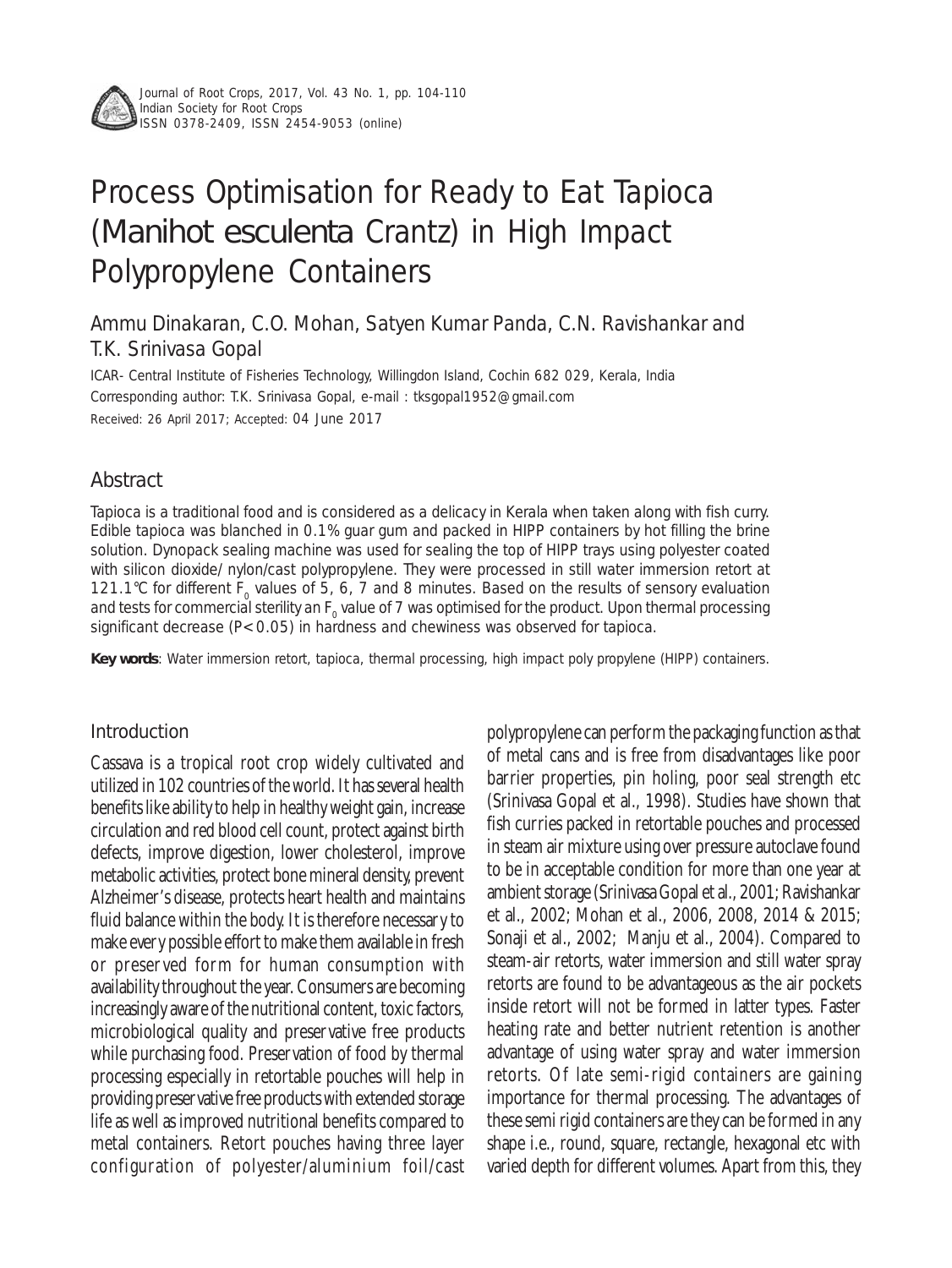

Journal of Root Crops, 2017, Vol. 43 No. 1, pp. 104-110 Indian Society for Root Crops ISSN 0378-2409, ISSN 2454-9053 (online)

# Process Optimisation for Ready to Eat Tapioca (*Manihot esculenta* Crantz) in High Impact Polypropylene Containers

# Ammu Dinakaran, C.O. Mohan, Satyen Kumar Panda, C.N. Ravishankar and T.K. Srinivasa Gopal

ICAR- Central Institute of Fisheries Technology, Willingdon Island, Cochin 682 029, Kerala, India Corresponding author: T.K. Srinivasa Gopal, e-mail : tksgopal1952@gmail.com Received: 26 April 2017; Accepted: 04 June 2017

# Abstract

Tapioca is a traditional food and is considered as a delicacy in Kerala when taken along with fish curry. Edible tapioca was blanched in 0.1% guar gum and packed in HIPP containers by hot filling the brine solution. Dynopack sealing machine was used for sealing the top of HIPP trays using polyester coated with silicon dioxide/ nylon/cast polypropylene. They were processed in still water immersion retort at 121.1°C for different  $F_0$  values of 5, 6, 7 and 8 minutes. Based on the results of sensory evaluation and tests for commercial sterility an  $F_0$  value of 7 was optimised for the product. Upon thermal processing significant decrease (P<0.05) in hardness and chewiness was observed for tapioca.

**Key words**: Water immersion retort, tapioca, thermal processing, high impact poly propylene (HIPP) containers.

# Introduction

Cassava is a tropical root crop widely cultivated and utilized in 102 countries of the world. It has several health benefits like ability to help in healthy weight gain, increase circulation and red blood cell count, protect against birth defects, improve digestion, lower cholesterol, improve metabolic activities, protect bone mineral density, prevent Alzheimer's disease, protects heart health and maintains fluid balance within the body. It is therefore necessary to make every possible effort to make them available in fresh or preserved form for human consumption with availability throughout the year. Consumers are becoming increasingly aware of the nutritional content, toxic factors, microbiological quality and preservative free products while purchasing food. Preservation of food by thermal processing especially in retortable pouches will help in providing preservative free products with extended storage life as well as improved nutritional benefits compared to metal containers. Retort pouches having three layer configuration of polyester/aluminium foil/cast

polypropylene can perform the packaging function as that of metal cans and is free from disadvantages like poor barrier properties, pin holing, poor seal strength etc (Srinivasa Gopal et al., 1998). Studies have shown that fish curries packed in retortable pouches and processed in steam air mixture using over pressure autoclave found to be in acceptable condition for more than one year at ambient storage (Srinivasa Gopal et al., 2001; Ravishankar et al., 2002; Mohan et al., 2006, 2008, 2014 & 2015; Sonaji et al., 2002; Manju et al., 2004). Compared to steam-air retorts, water immersion and still water spray retorts are found to be advantageous as the air pockets inside retort will not be formed in latter types. Faster heating rate and better nutrient retention is another advantage of using water spray and water immersion retorts. Of late semi-rigid containers are gaining importance for thermal processing. The advantages of these semi rigid containers are they can be formed in any shape i.e., round, square, rectangle, hexagonal etc with varied depth for different volumes. Apart from this, they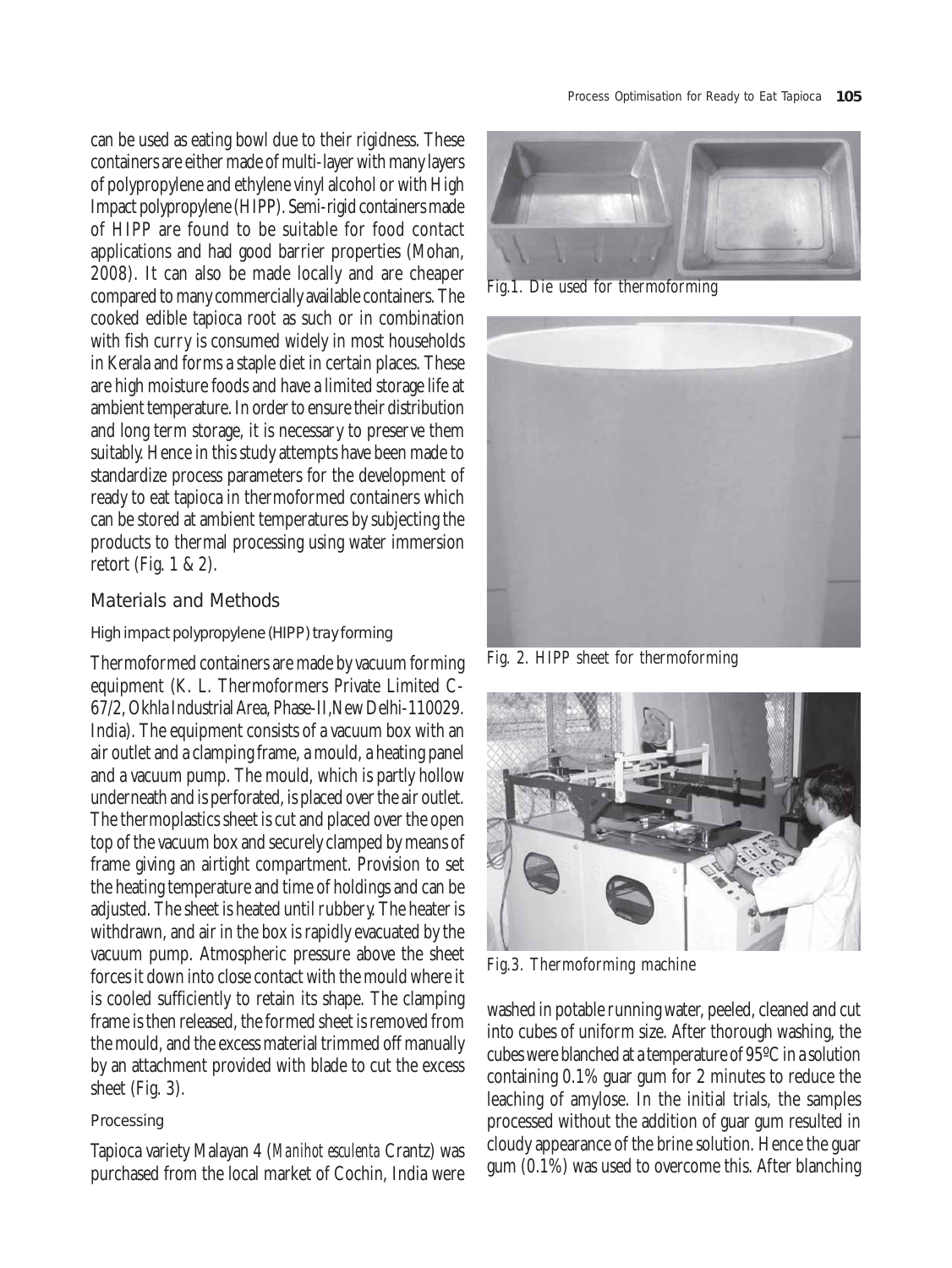can be used as eating bowl due to their rigidness. These containers are either made of multi-layer with many layers of polypropylene and ethylene vinyl alcohol or with High Impact polypropylene (HIPP). Semi-rigid containers made of HIPP are found to be suitable for food contact applications and had good barrier properties (Mohan, 2008). It can also be made locally and are cheaper compared to many commercially available containers. The cooked edible tapioca root as such or in combination with fish curry is consumed widely in most households in Kerala and forms a staple diet in certain places. These are high moisture foods and have a limited storage life at ambient temperature. In order to ensure their distribution and long term storage, it is necessary to preserve them suitably. Hence in this study attempts have been made to standardize process parameters for the development of ready to eat tapioca in thermoformed containers which can be stored at ambient temperatures by subjecting the products to thermal processing using water immersion retort (Fig. 1 & 2).

# Materials and Methods

# High impact polypropylene (HIPP) tray forming

Thermoformed containers are made by vacuum forming equipment (K. L. Thermoformers Private Limited C-67/2, Okhla Industrial Area, Phase-II,New Delhi-110029. India). The equipment consists of a vacuum box with an air outlet and a clamping frame, a mould, a heating panel and a vacuum pump. The mould, which is partly hollow underneath and is perforated, is placed over the air outlet. The thermoplastics sheet is cut and placed over the open top of the vacuum box and securely clamped by means of frame giving an airtight compartment. Provision to set the heating temperature and time of holdings and can be adjusted. The sheet is heated until rubbery. The heater is withdrawn, and air in the box is rapidly evacuated by the vacuum pump. Atmospheric pressure above the sheet forces it down into close contact with the mould where it is cooled sufficiently to retain its shape. The clamping frame is then released, the formed sheet is removed from the mould, and the excess material trimmed off manually by an attachment provided with blade to cut the excess sheet (Fig. 3).

# Processing

Tapioca variety Malayan 4 (*Manihot esculenta* Crantz) was purchased from the local market of Cochin, India were



Fig.1. Die used for thermoforming



Fig. 2. HIPP sheet for thermoforming



Fig.3. Thermoforming machine

washed in potable running water, peeled, cleaned and cut into cubes of uniform size. After thorough washing, the cubes were blanched at a temperature of 95ºC in a solution containing 0.1% guar gum for 2 minutes to reduce the leaching of amylose. In the initial trials, the samples processed without the addition of guar gum resulted in cloudy appearance of the brine solution. Hence the guar gum (0.1%) was used to overcome this. After blanching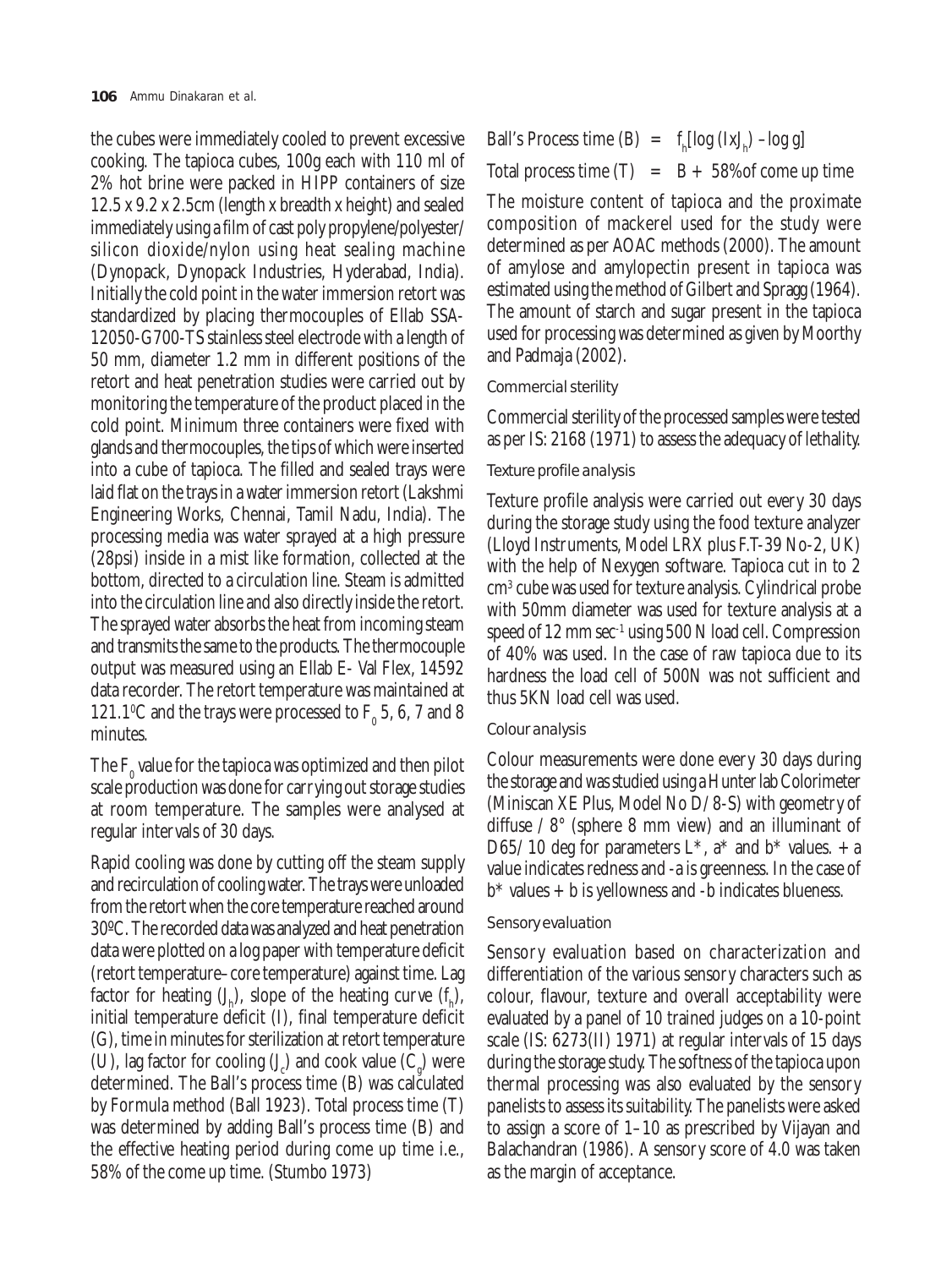the cubes were immediately cooled to prevent excessive cooking. The tapioca cubes, 100g each with 110 ml of 2% hot brine were packed in HIPP containers of size 12.5 x 9.2 x 2.5cm (length x breadth x height) and sealed immediately using a film of cast poly propylene/polyester/ silicon dioxide/nylon using heat sealing machine (Dynopack, Dynopack Industries, Hyderabad, India). Initially the cold point in the water immersion retort was standardized by placing thermocouples of Ellab SSA-12050-G700-TS stainless steel electrode with a length of 50 mm, diameter 1.2 mm in different positions of the retort and heat penetration studies were carried out by monitoring the temperature of the product placed in the cold point. Minimum three containers were fixed with glands and thermocouples, the tips of which were inserted into a cube of tapioca. The filled and sealed trays were laid flat on the trays in a water immersion retort (Lakshmi Engineering Works, Chennai, Tamil Nadu, India). The processing media was water sprayed at a high pressure (28psi) inside in a mist like formation, collected at the bottom, directed to a circulation line. Steam is admitted into the circulation line and also directly inside the retort. The sprayed water absorbs the heat from incoming steam and transmits the same to the products. The thermocouple output was measured using an Ellab E- Val Flex, 14592 data recorder. The retort temperature was maintained at 121.1°C and the trays were processed to  $F_0$  5, 6, 7 and 8 minutes.

The  $\mathrm{F_{0}}$  value for the tapioca was optimized and then pilot scale production was done for carrying out storage studies at room temperature. The samples were analysed at regular intervals of 30 days.

Rapid cooling was done by cutting off the steam supply and recirculation of cooling water. The trays were unloaded from the retort when the core temperature reached around 30ºC. The recorded data was analyzed and heat penetration data were plotted on a log paper with temperature deficit (retort temperature–core temperature) against time. Lag factor for heating  $(J_h)$ , slope of the heating curve  $(f_h)$ , initial temperature deficit (I), final temperature deficit (G), time in minutes for sterilization at retort temperature (U), lag factor for cooling  $(J_c)$  and cook value  $(C_g)$  were determined. The Ball's process time (B) was calculated by Formula method (Ball 1923). Total process time (T) was determined by adding Ball's process time (B) and the effective heating period during come up time i.e., 58% of the come up time. (Stumbo 1973)

Ball's Process time (B)  $= f_h[log (IxI_h) - log g]$ Total process time  $(T) = B + 58\%$  of come up time

The moisture content of tapioca and the proximate composition of mackerel used for the study were determined as per AOAC methods (2000). The amount of amylose and amylopectin present in tapioca was estimated using the method of Gilbert and Spragg (1964). The amount of starch and sugar present in the tapioca used for processing was determined as given by Moorthy and Padmaja (2002).

#### Commercial sterility

Commercial sterility of the processed samples were tested as per IS: 2168 (1971) to assess the adequacy of lethality.

# Texture profile analysis

Texture profile analysis were carried out every 30 days during the storage study using the food texture analyzer (Lloyd Instruments, Model LRX plus F.T-39 No-2, UK) with the help of Nexygen software. Tapioca cut in to 2 cm3 cube was used for texture analysis. Cylindrical probe with 50mm diameter was used for texture analysis at a speed of 12 mm sec<sup>-1</sup> using 500 N load cell. Compression of 40% was used. In the case of raw tapioca due to its hardness the load cell of 500N was not sufficient and thus 5KN load cell was used.

#### Colour analysis

Colour measurements were done every 30 days during the storage and was studied using a Hunter lab Colorimeter (Miniscan XE Plus, Model No D/ 8-S) with geometry of diffuse / 8° (sphere 8 mm view) and an illuminant of D65/ 10 deg for parameters  $L^*$ ,  $a^*$  and  $b^*$  values.  $+a$ value indicates redness and -a is greenness. In the case of  $b^*$  values  $+ b$  is yellowness and  $-b$  indicates blueness.

#### Sensory evaluation

Sensory evaluation based on characterization and differentiation of the various sensory characters such as colour, flavour, texture and overall acceptability were evaluated by a panel of 10 trained judges on a 10-point scale (IS: 6273(II) 1971) at regular intervals of 15 days during the storage study. The softness of the tapioca upon thermal processing was also evaluated by the sensory panelists to assess its suitability. The panelists were asked to assign a score of 1–10 as prescribed by Vijayan and Balachandran (1986). A sensory score of 4.0 was taken as the margin of acceptance.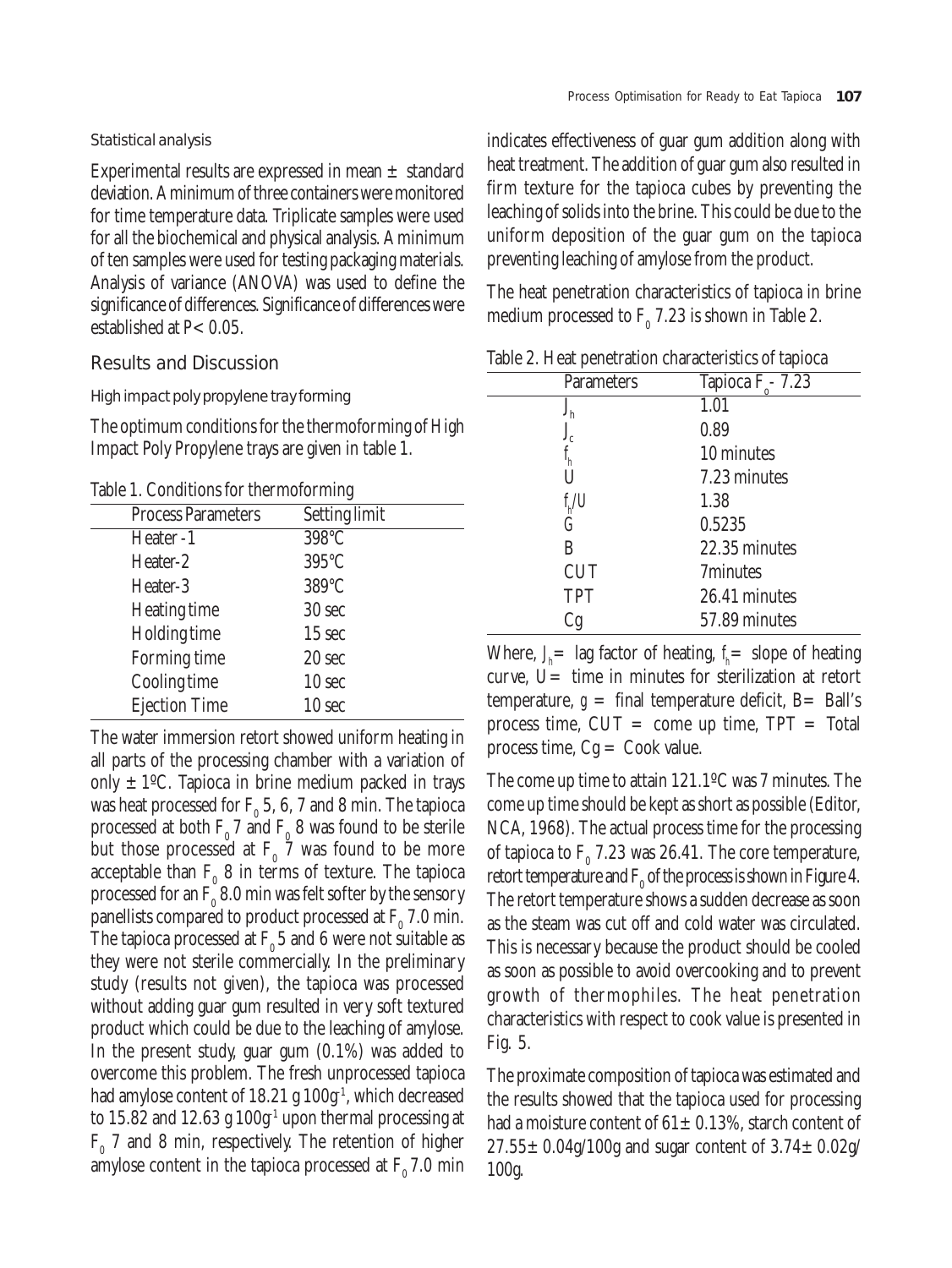#### Statistical analysis

Experimental results are expressed in mean  $\pm$  standard deviation. A minimum of three containers were monitored for time temperature data. Triplicate samples were used for all the biochemical and physical analysis. A minimum of ten samples were used for testing packaging materials. Analysis of variance (ANOVA) was used to define the significance of differences. Significance of differences were established at  $P < 0.05$ .

## Results and Discussion

#### High impact poly propylene tray forming

The optimum conditions for the thermoforming of High Impact Poly Propylene trays are given in table 1.

Table 1. Conditions for thermoforming

| <b>Process Parameters</b> | <b>Setting limit</b> |  |
|---------------------------|----------------------|--|
| Heater-1                  | 398°C                |  |
| Heater-2                  | 395°C                |  |
| Heater-3                  | 389°C                |  |
| <b>Heating time</b>       | 30 sec               |  |
| <b>Holding time</b>       | 15 sec               |  |
| <b>Forming time</b>       | 20 sec               |  |
| <b>Cooling time</b>       | 10 sec               |  |
| <b>Ejection Time</b>      | 10 sec               |  |

The water immersion retort showed uniform heating in all parts of the processing chamber with a variation of only  $\pm 1$ <sup>o</sup>C. Tapioca in brine medium packed in trays was heat processed for  $\mathrm{F_{0}}$  5, 6, 7 and 8 min. The tapioca processed at both  $F_0$  7 and  $F_0$  8 was found to be sterile but those processed at  $F_0$  7 was found to be more acceptable than  $F_0$  8 in terms of texture. The tapioca processed for an  $\mathrm{F_{0}}$  8.0 min was felt softer by the sensory panellists compared to product processed at  $F_0$  7.0 min. The tapioca processed at  $F_0$  5 and 6 were not suitable as they were not sterile commercially. In the preliminary study (results not given), the tapioca was processed without adding guar gum resulted in very soft textured product which could be due to the leaching of amylose. In the present study, guar gum (0.1%) was added to overcome this problem. The fresh unprocessed tapioca had amylose content of  $18.21$  g  $100g<sup>-1</sup>$ , which decreased to 15.82 and 12.63 g  $100g<sup>-1</sup>$  upon thermal processing at  $F_{0}$  7 and 8 min, respectively. The retention of higher amylose content in the tapioca processed at  $F_0$  7.0 min indicates effectiveness of guar gum addition along with heat treatment. The addition of guar gum also resulted in firm texture for the tapioca cubes by preventing the leaching of solids into the brine. This could be due to the uniform deposition of the guar gum on the tapioca preventing leaching of amylose from the product.

The heat penetration characteristics of tapioca in brine medium processed to  $F_0$  7.23 is shown in Table 2.

| Tapioca $F_c$ - 7.23 |
|----------------------|
| 1.01                 |
| 0.89                 |
| 10 minutes           |
| 7.23 minutes         |
| 1.38                 |
| 0.5235               |
| 22.35 minutes        |
| 7minutes             |
| 26.41 minutes        |
| 57.89 minutes        |
|                      |

Table 2. Heat penetration characteristics of tapioca

Where,  $J_h$  lag factor of heating,  $f_h$  slope of heating curve, U= time in minutes for sterilization at retort temperature,  $g = \text{final}$  temperature deficit, B= Ball's process time,  $CUT = \text{come up time}$ ,  $TPT = \text{Total}$ process time,  $Cg = \text{Cook value}$ .

The come up time to attain 121.1ºC was 7 minutes. The come up time should be kept as short as possible (Editor, NCA, 1968). The actual process time for the processing of tapioca to  $F_0$  7.23 was 26.41. The core temperature, retort temperature and  $\mathbf{F}_{0}$  of the process is shown in Figure 4. The retort temperature shows a sudden decrease as soon as the steam was cut off and cold water was circulated. This is necessary because the product should be cooled as soon as possible to avoid overcooking and to prevent growth of thermophiles. The heat penetration characteristics with respect to cook value is presented in Fig. 5.

The proximate composition of tapioca was estimated and the results showed that the tapioca used for processing had a moisture content of  $61 \pm 0.13$ %, starch content of  $27.55 \pm 0.04$ g/100g and sugar content of  $3.74 \pm 0.02$ g/ 100g.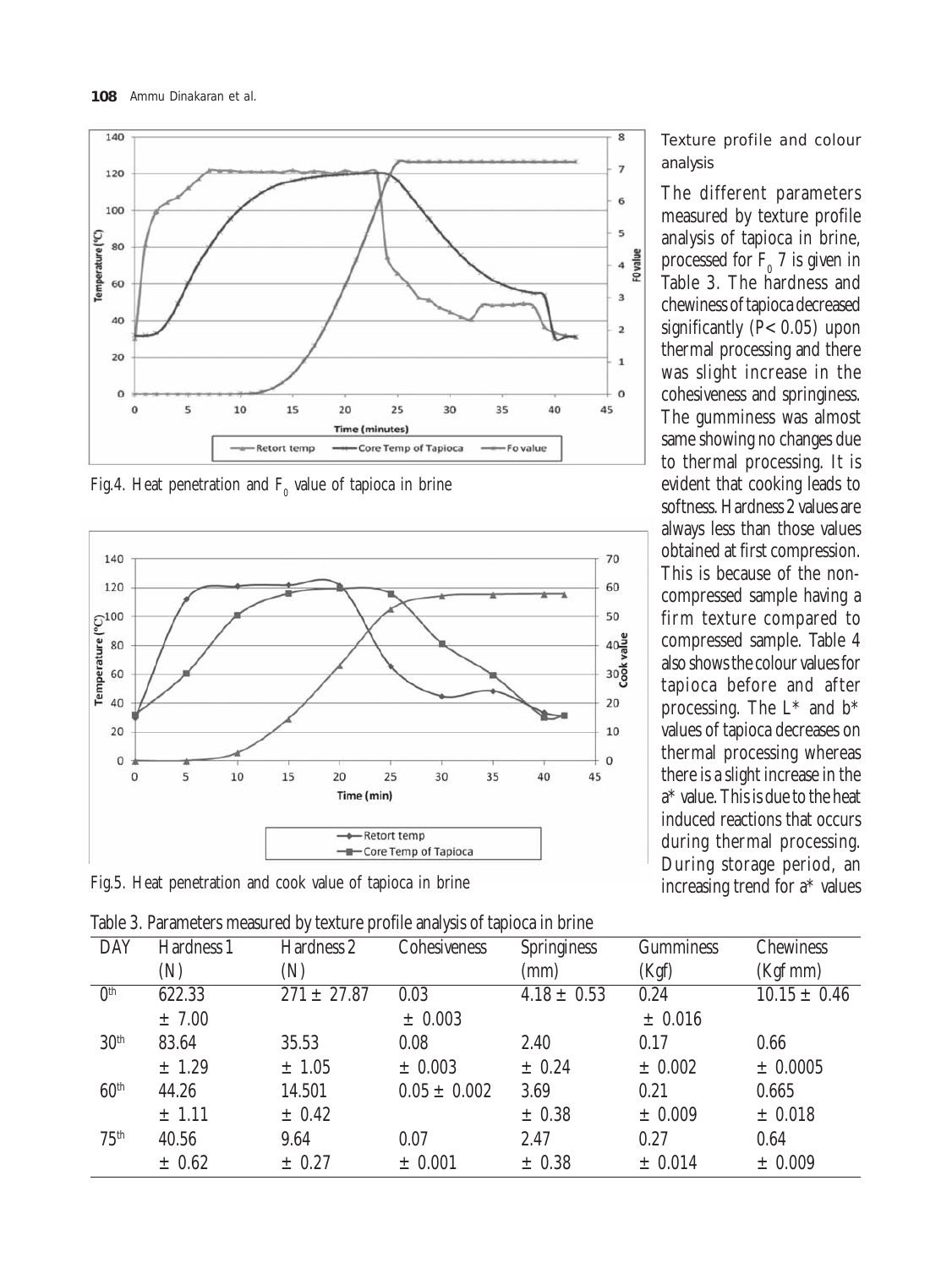

Fig.4. Heat penetration and  $\mathrm{F_{o}}$  value of tapioca in brine



Fig.5. Heat penetration and cook value of tapioca in brine

Table 3. Parameters measured by texture profile analysis of tapioca in brine

Texture profile and colour analysis

The different parameters measured by texture profile analysis of tapioca in brine, processed for  $F_0$  7 is given in Table 3. The hardness and chewiness of tapioca decreased significantly  $(P< 0.05)$  upon thermal processing and there was slight increase in the cohesiveness and springiness. The gumminess was almost same showing no changes due to thermal processing. It is evident that cooking leads to softness. Hardness 2 values are always less than those values obtained at first compression. This is because of the noncompressed sample having a firm texture compared to compressed sample. Table 4 also shows the colour values for tapioca before and after processing. The L\* and b\* values of tapioca decreases on thermal processing whereas there is a slight increase in the a\* value. This is due to the heat induced reactions that occurs during thermal processing. During storage period, an increasing trend for a\* values

| Table 5. I alameters measured by texture prome analysis of taploca in brine |            |                 |                     |                    |                  |                  |  |  |
|-----------------------------------------------------------------------------|------------|-----------------|---------------------|--------------------|------------------|------------------|--|--|
| <b>DAY</b>                                                                  | Hardness 1 | Hardness 2      | <b>Cohesiveness</b> | <b>Springiness</b> | <b>Gumminess</b> | <b>Chewiness</b> |  |  |
|                                                                             | (N)        | (N)             |                     | (mm)               | (Kgf)            | $(Kgf$ mm $)$    |  |  |
| 0 <sup>th</sup>                                                             | 622.33     | $271 \pm 27.87$ | 0.03                | $4.18 \pm 0.53$    | 0.24             | $10.15 \pm 0.46$ |  |  |
|                                                                             | $\pm 7.00$ |                 | $\pm 0.003$         |                    | $\pm$ 0.016      |                  |  |  |
| 30 <sup>th</sup>                                                            | 83.64      | 35.53           | 0.08                | 2.40               | 0.17             | 0.66             |  |  |
|                                                                             | ± 1.29     | $\pm 1.05$      | $\pm 0.003$         | ± 0.24             | $\pm 0.002$      | ± 0.0005         |  |  |
| 60 <sup>th</sup>                                                            | 44.26      | 14.501          | $0.05 \pm 0.002$    | 3.69               | 0.21             | 0.665            |  |  |
|                                                                             | $±$ 1.11   | $\pm$ 0.42      |                     | $\pm 0.38$         | $\pm 0.009$      | $\pm$ 0.018      |  |  |
| 75 <sup>th</sup>                                                            | 40.56      | 9.64            | 0.07                | 2.47               | 0.27             | 0.64             |  |  |
|                                                                             | $\pm 0.62$ | $\pm$ 0.27      | ± 0.001             | $\pm$ 0.38         | $\pm 0.014$      | ± 0.009          |  |  |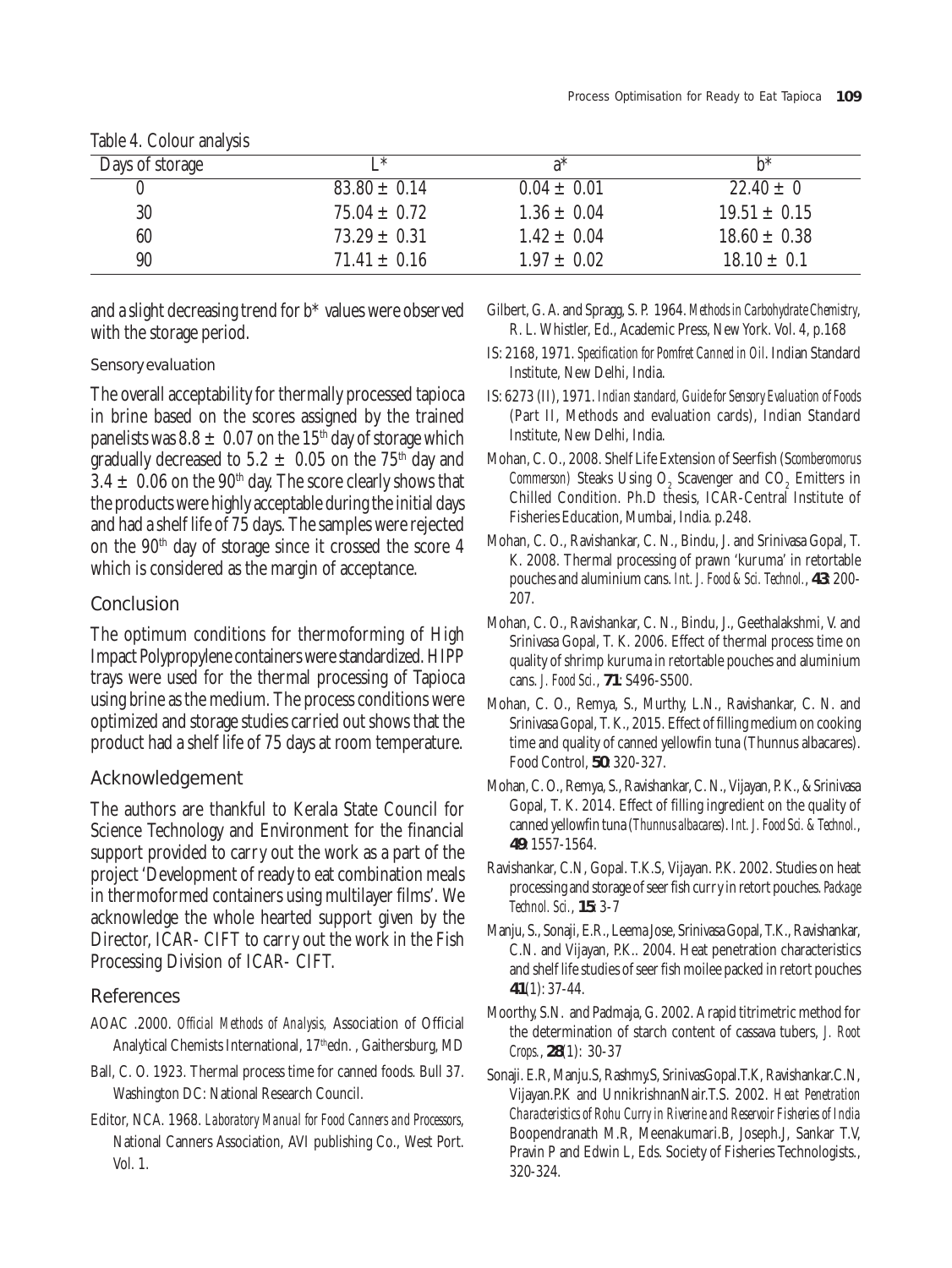| Days of storage | I *              | $a^*$           | h*               |
|-----------------|------------------|-----------------|------------------|
|                 | $83.80 \pm 0.14$ | $0.04 \pm 0.01$ | $22.40 \pm 0$    |
| 30              | $75.04 \pm 0.72$ | $1.36 \pm 0.04$ | $19.51 \pm 0.15$ |
| 60              | $73.29 \pm 0.31$ | $1.42 \pm 0.04$ | $18.60 \pm 0.38$ |
| 90              | $71.41 \pm 0.16$ | $1.97 \pm 0.02$ | $18.10 \pm 0.1$  |

## Table 4. Colour analysis

and a slight decreasing trend for b\* values were observed with the storage period.

#### Sensory evaluation

The overall acceptability for thermally processed tapioca in brine based on the scores assigned by the trained panelists was  $8.8 \pm 0.07$  on the 15<sup>th</sup> day of storage which gradually decreased to  $5.2 \pm 0.05$  on the 75<sup>th</sup> day and  $3.4 \pm 0.06$  on the 90<sup>th</sup> day. The score clearly shows that the products were highly acceptable during the initial days and had a shelf life of 75 days. The samples were rejected on the  $90<sup>th</sup>$  day of storage since it crossed the score 4 which is considered as the margin of acceptance.

## Conclusion

The optimum conditions for thermoforming of High Impact Polypropylene containers were standardized. HIPP trays were used for the thermal processing of Tapioca using brine as the medium. The process conditions were optimized and storage studies carried out shows that the product had a shelf life of 75 days at room temperature.

## Acknowledgement

The authors are thankful to Kerala State Council for Science Technology and Environment for the financial support provided to carry out the work as a part of the project 'Development of ready to eat combination meals in thermoformed containers using multilayer films'. We acknowledge the whole hearted support given by the Director, ICAR- CIFT to carry out the work in the Fish Processing Division of ICAR- CIFT.

# References

- AOAC .2000. *Official Methods of Analysis,* Association of Official Analytical Chemists International, 17<sup>th</sup>edn., Gaithersburg, MD
- Ball, C. O. 1923. Thermal process time for canned foods. Bull 37. Washington DC: National Research Council.
- Editor, NCA. 1968. *Laboratory Manual for Food Canners and Processors*, National Canners Association, AVI publishing Co., West Port. Vol. 1.
- Gilbert, G. A. and Spragg, S. P. 1964. *Methods in Carbohydrate Chemistry*, R. L. Whistler, Ed., Academic Press, New York. Vol. 4, p.168
- IS: 2168, 1971. *Specification for Pomfret Canned in Oil*. Indian Standard Institute, New Delhi, India.
- IS: 6273 (II), 1971. *Indian standard, Guide for Sensory Evaluation of Foods* (Part II, Methods and evaluation cards), Indian Standard Institute, New Delhi, India.
- Mohan, C. O., 2008. Shelf Life Extension of Seerfish (S*comberomorus Commerson*) Steaks Using  $O_2$  Scavenger and  $CO_2$  Emitters in Chilled Condition. Ph.D thesis, ICAR-Central Institute of Fisheries Education, Mumbai, India. p.248.
- Mohan, C. O., Ravishankar, C. N., Bindu, J. and Srinivasa Gopal, T. K. 2008. Thermal processing of prawn 'kuruma' in retortable pouches and aluminium cans. *Int. J. Food & Sci. Technol.*, **43**: 200- 207.
- Mohan, C. O., Ravishankar, C. N., Bindu, J., Geethalakshmi, V. and Srinivasa Gopal, T. K. 2006. Effect of thermal process time on quality of shrimp kuruma in retortable pouches and aluminium cans. *J. Food Sci.*, **71**: S496-S500.
- Mohan, C. O., Remya, S., Murthy, L.N., Ravishankar, C. N. and Srinivasa Gopal, T. K., 2015. Effect of filling medium on cooking time and quality of canned yellowfin tuna (Thunnus albacares). Food Control, **50**: 320-327.
- Mohan, C. O., Remya, S., Ravishankar, C. N., Vijayan, P. K., & Srinivasa Gopal, T. K. 2014. Effect of filling ingredient on the quality of canned yellowfin tuna (*Thunnus albacares*). *Int. J. Food Sci. & Technol.*, **49**: 1557-1564.
- Ravishankar, C.N, Gopal. T.K.S, Vijayan. P.K. 2002. Studies on heat processing and storage of seer fish curry in retort pouches. *Package Technol. Sci.*, **15**: 3-7
- Manju, S., Sonaji, E.R., Leema Jose, Srinivasa Gopal, T.K., Ravishankar, C.N. and Vijayan, P.K.. 2004. Heat penetration characteristics and shelf life studies of seer fish moilee packed in retort pouches **41**(1): 37-44.
- Moorthy, S.N. and Padmaja, G. 2002. A rapid titrimetric method for the determination of starch content of cassava tubers, *J. Root Crops.*, **28**(1): 30-37
- Sonaji. E.R, Manju.S, Rashmy.S, SrinivasGopal.T.K, Ravishankar.C.N, Vijayan.P.K and UnnikrishnanNair.T.S. 2002. *Heat Penetration Characteristics of Rohu Curry in Riverine and Reservoir Fisheries of India* Boopendranath M.R, Meenakumari.B, Joseph.J, Sankar T.V, Pravin P and Edwin L, Eds. Society of Fisheries Technologists., 320-324.